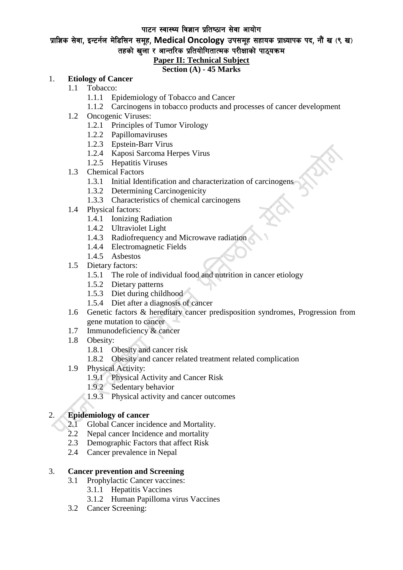#### पाटन स्वास्थ्य विज्ञान प्रतिष्ठान सेवा आयोग

## प्राज्ञिक सेवा, इन्टर्नल मेडिसिन समूह, Medical Oncology उपसमूह सहायक प्राध्यापक पद, नौं ख (९ ख) तहको खुला र आन्तरिक प्रतियोगितात्मक परीक्षाको पाठ्यक्रम

# **Paper II: Technical Subject**

## **Section (A) - 45 Marks**

### 1. **Etiology of Cancer**

- 1.1 Tobacco:
	- 1.1.1 Epidemiology of Tobacco and Cancer
	- 1.1.2 Carcinogens in tobacco products and processes of cancer development
- 1.2 Oncogenic Viruses:
	- 1.2.1 Principles of Tumor Virology
	- 1.2.2 Papillomaviruses
	- 1.2.3 Epstein-Barr Virus
	- 1.2.4 Kaposi Sarcoma Herpes Virus
	- 1.2.5 Hepatitis Viruses
- 1.3 Chemical Factors
	- 1.3.1 Initial Identification and characterization of carcinogens
	- 1.3.2 Determining Carcinogenicity
	- 1.3.3 Characteristics of chemical carcinogens
- 1.4 Physical factors:
	- 1.4.1 Ionizing Radiation
	- 1.4.2 Ultraviolet Light
	- 1.4.3 Radiofrequency and Microwave radiation
	- 1.4.4 Electromagnetic Fields
	- 1.4.5 Asbestos
- 1.5 Dietary factors:
	- 1.5.1 The role of individual food and nutrition in cancer etiology
	- 1.5.2 Dietary patterns
	- 1.5.3 Diet during childhood
	- 1.5.4 Diet after a diagnosis of cancer
- 1.6 Genetic factors & hereditary cancer predisposition syndromes, Progression from gene mutation to cancer
- 1.7 Immunodeficiency & cancer
- 1.8 Obesity:
	- 1.8.1 Obesity and cancer risk
	- 1.8.2 Obesity and cancer related treatment related complication
- 1.9 Physical Activity:
	- 1.9.1 Physical Activity and Cancer Risk
	- 1.9.2 Sedentary behavior
	- 1.9.3 Physical activity and cancer outcomes

## 2. **Epidemiology of cancer**

- 
- 2.1 Global Cancer incidence and Mortality.<br>2.2 Nepal cancer Incidence and mortality Nepal cancer Incidence and mortality
- 2.3 Demographic Factors that affect Risk
- 2.4 Cancer prevalence in Nepal

### 3. **Cancer prevention and Screening**

- 3.1 Prophylactic Cancer vaccines:
	- 3.1.1 Hepatitis Vaccines
	- 3.1.2 Human Papilloma virus Vaccines
- 3.2 Cancer Screening: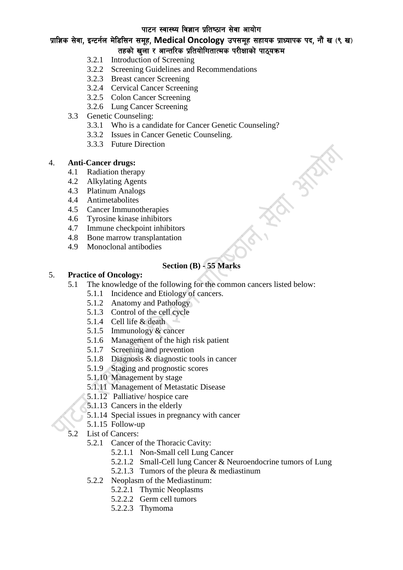## पाटन स्वास्थ्य विज्ञान प्रतिष्ठान सेवा आयोग

## प्राज्ञिक सेवा, इन्टर्नल मेडिसिन समूह, Medical Oncology उपसमूह सहायक प्राध्यापक पद, नौं ख (९ ख) तहको खला र आन्तरिक प्रतियोगितात्मक परीक्षाको पाठयक्रम

- 3.2.1 Introduction of Screening
- 3.2.2 Screening Guidelines and Recommendations
- 3.2.3 Breast cancer Screening
- 3.2.4 Cervical Cancer Screening
- 3.2.5 Colon Cancer Screening
- 3.2.6 Lung Cancer Screening
- 3.3 Genetic Counseling:
	- 3.3.1 Who is a candidate for Cancer Genetic Counseling?
	- 3.3.2 Issues in Cancer Genetic Counseling.
	- 3.3.3 Future Direction

### 4. **Anti-Cancer drugs:**

- 4.1 Radiation therapy
- 4.2 Alkylating Agents
- 4.3 Platinum Analogs
- 4.4 Antimetabolites
- 4.5 Cancer Immunotherapies
- 4.6 Tyrosine kinase inhibitors
- 4.7 Immune checkpoint inhibitors
- 4.8 Bone marrow transplantation
- 4.9 Monoclonal antibodies

## **Section (B) - 55 Marks**

## 5. **Practice of Oncology:**

- 5.1 The knowledge of the following for the common cancers listed below:
	- 5.1.1 Incidence and Etiology of cancers.
	- 5.1.2 Anatomy and Pathology
	- 5.1.3 Control of the cell cycle
	- 5.1.4 Cell life & death
	- 5.1.5 Immunology & cancer
	- 5.1.6 Management of the high risk patient
	- 5.1.7 Screening and prevention
	- 5.1.8 Diagnosis & diagnostic tools in cancer
	- 5.1.9 Staging and prognostic scores
	- 5.1.10 Management by stage
	- 5.1.11 Management of Metastatic Disease
	- 5.1.12 Palliative/ hospice care
	- 5.1.13 Cancers in the elderly
	- 5.1.14 Special issues in pregnancy with cancer
	- 5.1.15 Follow-up
- 5.2 List of Cancers:
	- 5.2.1 Cancer of the Thoracic Cavity:
		- 5.2.1.1 Non-Small cell Lung Cancer
		- 5.2.1.2 Small-Cell lung Cancer & Neuroendocrine tumors of Lung
		- 5.2.1.3 Tumors of the pleura & mediastinum
	- 5.2.2 Neoplasm of the Mediastinum:
		- 5.2.2.1 Thymic Neoplasms
		- 5.2.2.2 Germ cell tumors
		- 5.2.2.3 Thymoma